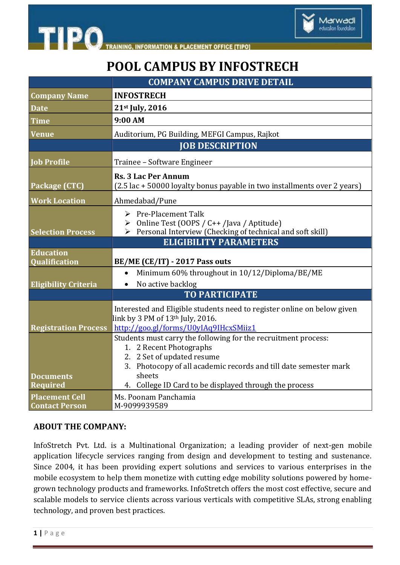

## **POOL CAMPUS BY INFOSTRECH**

Marwadi education foundation

|                                                | <b>COMPANY CAMPUS DRIVE DETAIL</b>                                                                                                                                                                                                                              |
|------------------------------------------------|-----------------------------------------------------------------------------------------------------------------------------------------------------------------------------------------------------------------------------------------------------------------|
| <b>Company Name</b>                            | <b>INFOSTRECH</b>                                                                                                                                                                                                                                               |
| <b>Date</b>                                    | 21st July, 2016                                                                                                                                                                                                                                                 |
| <b>Time</b>                                    | 9:00 AM                                                                                                                                                                                                                                                         |
| <b>Venue</b>                                   | Auditorium, PG Building, MEFGI Campus, Rajkot                                                                                                                                                                                                                   |
|                                                | <b>JOB DESCRIPTION</b>                                                                                                                                                                                                                                          |
| <b>Job Profile</b>                             | Trainee - Software Engineer                                                                                                                                                                                                                                     |
| Package (CTC)                                  | <b>Rs. 3 Lac Per Annum</b><br>(2.5 lac + 50000 loyalty bonus payable in two installments over 2 years)                                                                                                                                                          |
| <b>Work Location</b>                           | Ahmedabad/Pune                                                                                                                                                                                                                                                  |
| <b>Selection Process</b>                       | $\triangleright$ Pre-Placement Talk<br>> Online Test (OOPS / C++ /Java / Aptitude)<br>> Personal Interview (Checking of technical and soft skill)<br><b>ELIGIBILITY PARAMETERS</b>                                                                              |
| <b>Education</b><br>Qualification              | BE/ME (CE/IT) - 2017 Pass outs                                                                                                                                                                                                                                  |
| <b>Eligibility Criteria</b>                    | Minimum 60% throughout in 10/12/Diploma/BE/ME<br>No active backlog                                                                                                                                                                                              |
|                                                | <b>TO PARTICIPATE</b>                                                                                                                                                                                                                                           |
| <b>Registration Process</b>                    | Interested and Eligible students need to register online on below given<br>link by 3 PM of $13th$ July, 2016.<br>http://goo.gl/forms/U0yIAq9IHcxSMiiz1                                                                                                          |
| <b>Documents</b><br><b>Required</b>            | Students must carry the following for the recruitment process:<br>1. 2 Recent Photographs<br>2. 2 Set of updated resume<br>3. Photocopy of all academic records and till date semester mark<br>sheets<br>4. College ID Card to be displayed through the process |
| <b>Placement Cell</b><br><b>Contact Person</b> | Ms. Poonam Panchamia<br>M-9099939589                                                                                                                                                                                                                            |

## **ABOUT THE COMPANY:**

InfoStretch Pvt. Ltd. is a Multinational Organization; a leading provider of next-gen mobile application lifecycle services ranging from design and development to testing and sustenance. Since 2004, it has been providing expert solutions and services to various enterprises in the mobile ecosystem to help them monetize with cutting edge mobility solutions powered by homegrown technology products and frameworks. InfoStretch offers the most cost effective, secure and scalable models to service clients across various verticals with competitive SLAs, strong enabling technology, and proven best practices.